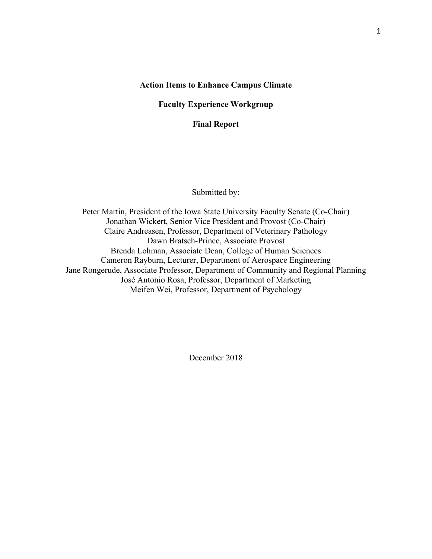### **Action Items to Enhance Campus Climate**

**Faculty Experience Workgroup**

**Final Report**

Submitted by:

Peter Martin, President of the Iowa State University Faculty Senate (Co-Chair) Jonathan Wickert, Senior Vice President and Provost (Co-Chair) Claire Andreasen, Professor, Department of Veterinary Pathology Dawn Bratsch-Prince, Associate Provost Brenda Lohman, Associate Dean, College of Human Sciences Cameron Rayburn, Lecturer, Department of Aerospace Engineering Jane Rongerude, Associate Professor, Department of Community and Regional Planning José Antonio Rosa, Professor, Department of Marketing Meifen Wei, Professor, Department of Psychology

December 2018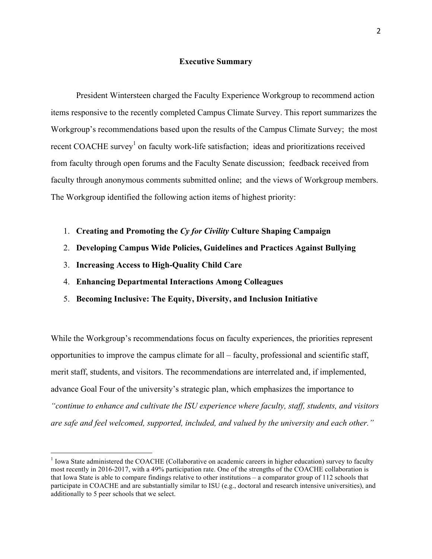### **Executive Summary**

President Wintersteen charged the Faculty Experience Workgroup to recommend action items responsive to the recently completed Campus Climate Survey. This report summarizes the Workgroup's recommendations based upon the results of the Campus Climate Survey; the most recent COACHE survey<sup>1</sup> on faculty work-life satisfaction; ideas and prioritizations received from faculty through open forums and the Faculty Senate discussion; feedback received from faculty through anonymous comments submitted online; and the views of Workgroup members. The Workgroup identified the following action items of highest priority:

- 1. **Creating and Promoting the** *Cy for Civility* **Culture Shaping Campaign**
- 2. **Developing Campus Wide Policies, Guidelines and Practices Against Bullying**
- 3. **Increasing Access to High-Quality Child Care**
- 4. **Enhancing Departmental Interactions Among Colleagues**
- 5. **Becoming Inclusive: The Equity, Diversity, and Inclusion Initiative**

While the Workgroup's recommendations focus on faculty experiences, the priorities represent opportunities to improve the campus climate for all – faculty, professional and scientific staff, merit staff, students, and visitors. The recommendations are interrelated and, if implemented, advance Goal Four of the university's strategic plan, which emphasizes the importance to *"continue to enhance and cultivate the ISU experience where faculty, staff, students, and visitors are safe and feel welcomed, supported, included, and valued by the university and each other."* 

<sup>&</sup>lt;sup>1</sup> Iowa State administered the COACHE (Collaborative on academic careers in higher education) survey to faculty most recently in 2016-2017, with a 49% participation rate. One of the strengths of the COACHE collaboration is that Iowa State is able to compare findings relative to other institutions – a comparator group of 112 schools that participate in COACHE and are substantially similar to ISU (e.g., doctoral and research intensive universities), and additionally to 5 peer schools that we select.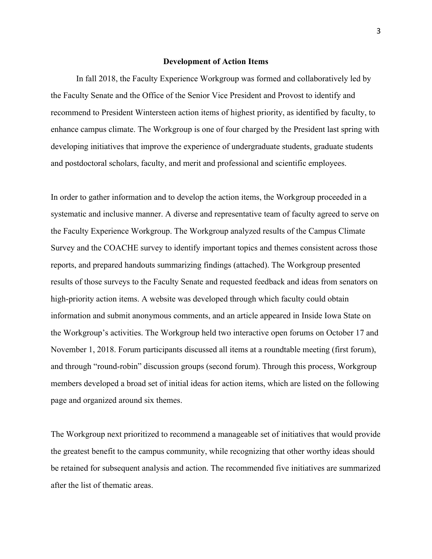#### **Development of Action Items**

In fall 2018, the Faculty Experience Workgroup was formed and collaboratively led by the Faculty Senate and the Office of the Senior Vice President and Provost to identify and recommend to President Wintersteen action items of highest priority, as identified by faculty, to enhance campus climate. The Workgroup is one of four charged by the President last spring with developing initiatives that improve the experience of undergraduate students, graduate students and postdoctoral scholars, faculty, and merit and professional and scientific employees.

In order to gather information and to develop the action items, the Workgroup proceeded in a systematic and inclusive manner. A diverse and representative team of faculty agreed to serve on the Faculty Experience Workgroup. The Workgroup analyzed results of the Campus Climate Survey and the COACHE survey to identify important topics and themes consistent across those reports, and prepared handouts summarizing findings (attached). The Workgroup presented results of those surveys to the Faculty Senate and requested feedback and ideas from senators on high-priority action items. A website was developed through which faculty could obtain information and submit anonymous comments, and an article appeared in Inside Iowa State on the Workgroup's activities. The Workgroup held two interactive open forums on October 17 and November 1, 2018. Forum participants discussed all items at a roundtable meeting (first forum), and through "round-robin" discussion groups (second forum). Through this process, Workgroup members developed a broad set of initial ideas for action items, which are listed on the following page and organized around six themes.

The Workgroup next prioritized to recommend a manageable set of initiatives that would provide the greatest benefit to the campus community, while recognizing that other worthy ideas should be retained for subsequent analysis and action. The recommended five initiatives are summarized after the list of thematic areas.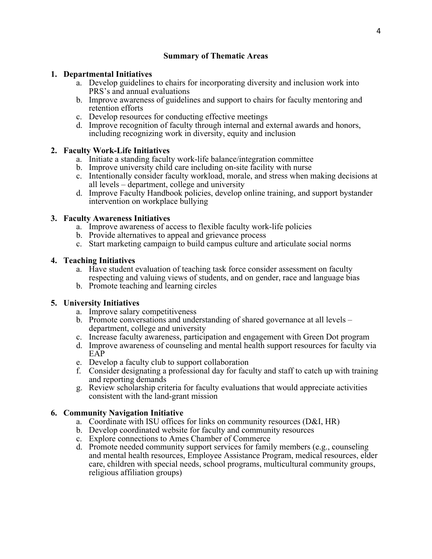# **Summary of Thematic Areas**

## **1. Departmental Initiatives**

- a. Develop guidelines to chairs for incorporating diversity and inclusion work into PRS's and annual evaluations
- b. Improve awareness of guidelines and support to chairs for faculty mentoring and retention efforts
- c. Develop resources for conducting effective meetings
- d. Improve recognition of faculty through internal and external awards and honors, including recognizing work in diversity, equity and inclusion

## **2. Faculty Work-Life Initiatives**

- a. Initiate a standing faculty work-life balance/integration committee
- b. Improve university child care including on-site facility with nurse
- c. Intentionally consider faculty workload, morale, and stress when making decisions at all levels – department, college and university
- d. Improve Faculty Handbook policies, develop online training, and support bystander intervention on workplace bullying

## **3. Faculty Awareness Initiatives**

- a. Improve awareness of access to flexible faculty work-life policies
- b. Provide alternatives to appeal and grievance process
- c. Start marketing campaign to build campus culture and articulate social norms

## **4. Teaching Initiatives**

- a. Have student evaluation of teaching task force consider assessment on faculty respecting and valuing views of students, and on gender, race and language bias
- b. Promote teaching and learning circles

# **5. University Initiatives**

- a. Improve salary competitiveness
- b. Promote conversations and understanding of shared governance at all levels department, college and university
- c. Increase faculty awareness, participation and engagement with Green Dot program
- d. Improve awareness of counseling and mental health support resources for faculty via EAP
- e. Develop a faculty club to support collaboration
- f. Consider designating a professional day for faculty and staff to catch up with training and reporting demands
- g. Review scholarship criteria for faculty evaluations that would appreciate activities consistent with the land-grant mission

# **6. Community Navigation Initiative**

- a. Coordinate with ISU offices for links on community resources (D&I, HR)
- b. Develop coordinated website for faculty and community resources
- c. Explore connections to Ames Chamber of Commerce
- d. Promote needed community support services for family members (e.g., counseling and mental health resources, Employee Assistance Program, medical resources, elder care, children with special needs, school programs, multicultural community groups, religious affiliation groups)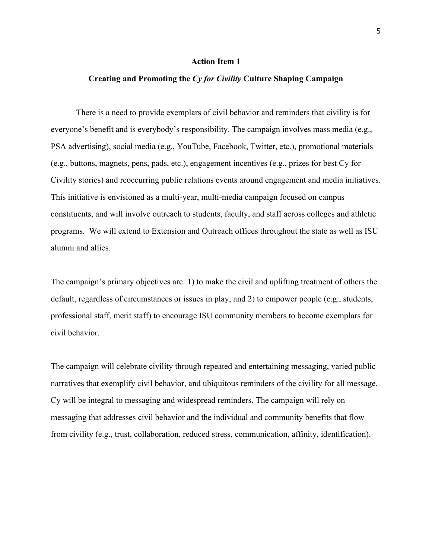# **Creating and Promoting the** *Cy for Civility* **Culture Shaping Campaign**

There is a need to provide exemplars of civil behavior and reminders that civility is for everyone's benefit and is everybody's responsibility. The campaign involves mass media (e.g., PSA advertising), social media (e.g., YouTube, Facebook, Twitter, etc.), promotional materials (e.g., buttons, magnets, pens, pads, etc.), engagement incentives (e.g., prizes for best Cy for Civility stories) and reoccurring public relations events around engagement and media initiatives. This initiative is envisioned as a multi-year, multi-media campaign focused on campus constituents, and will involve outreach to students, faculty, and staff across colleges and athletic programs. We will extend to Extension and Outreach offices throughout the state as well as ISU alumni and allies.

The campaign's primary objectives are: 1) to make the civil and uplifting treatment of others the default, regardless of circumstances or issues in play; and 2) to empower people (e.g., students, professional staff, merit staff) to encourage ISU community members to become exemplars for civil behavior.

The campaign will celebrate civility through repeated and entertaining messaging, varied public narratives that exemplify civil behavior, and ubiquitous reminders of the civility for all message. Cy will be integral to messaging and widespread reminders. The campaign will rely on messaging that addresses civil behavior and the individual and community benefits that flow from civility (e.g., trust, collaboration, reduced stress, communication, affinity, identification).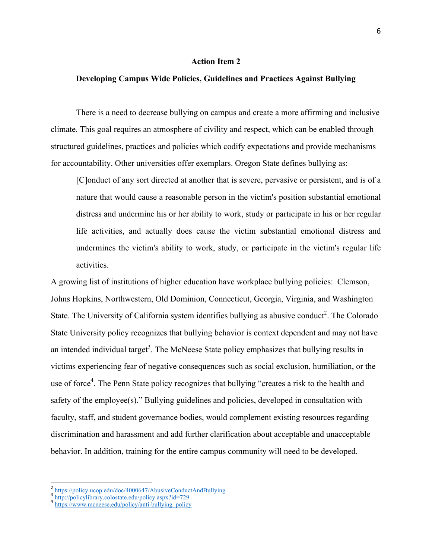### **Developing Campus Wide Policies, Guidelines and Practices Against Bullying**

There is a need to decrease bullying on campus and create a more affirming and inclusive climate. This goal requires an atmosphere of civility and respect, which can be enabled through structured guidelines, practices and policies which codify expectations and provide mechanisms for accountability. Other universities offer exemplars. Oregon State defines bullying as:

[C]onduct of any sort directed at another that is severe, pervasive or persistent, and is of a nature that would cause a reasonable person in the victim's position substantial emotional distress and undermine his or her ability to work, study or participate in his or her regular life activities, and actually does cause the victim substantial emotional distress and undermines the victim's ability to work, study, or participate in the victim's regular life activities.

A growing list of institutions of higher education have workplace bullying policies: Clemson, Johns Hopkins, Northwestern, Old Dominion, Connecticut, Georgia, Virginia, and Washington State. The University of California system identifies bullying as abusive conduct<sup>2</sup>. The Colorado State University policy recognizes that bullying behavior is context dependent and may not have an intended individual target<sup>3</sup>. The McNeese State policy emphasizes that bullying results in victims experiencing fear of negative consequences such as social exclusion, humiliation, or the use of force<sup>4</sup>. The Penn State policy recognizes that bullying "creates a risk to the health and safety of the employee(s)." Bullying guidelines and policies, developed in consultation with faculty, staff, and student governance bodies, would complement existing resources regarding discrimination and harassment and add further clarification about acceptable and unacceptable behavior. In addition, training for the entire campus community will need to be developed.

https://policy.ucop.edu/doc/4000647/AbusiveConductAndBullying<br>http://policylibrary.colostate.edu/policy.aspx?id=729<br>https://www.mcneese.edu/policy/anti-bullying\_policy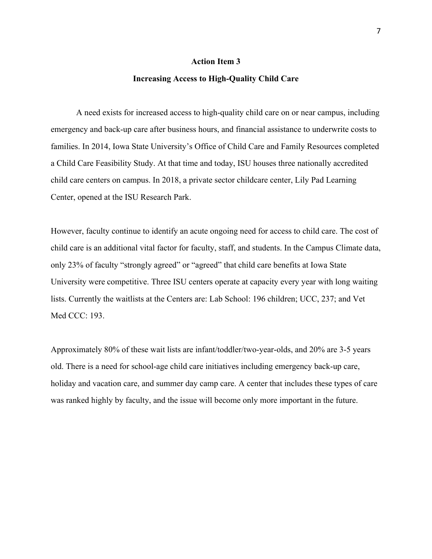#### **Increasing Access to High-Quality Child Care**

A need exists for increased access to high-quality child care on or near campus, including emergency and back-up care after business hours, and financial assistance to underwrite costs to families. In 2014, Iowa State University's Office of Child Care and Family Resources completed a Child Care Feasibility Study. At that time and today, ISU houses three nationally accredited child care centers on campus. In 2018, a private sector childcare center, Lily Pad Learning Center, opened at the ISU Research Park.

However, faculty continue to identify an acute ongoing need for access to child care. The cost of child care is an additional vital factor for faculty, staff, and students. In the Campus Climate data, only 23% of faculty "strongly agreed" or "agreed" that child care benefits at Iowa State University were competitive. Three ISU centers operate at capacity every year with long waiting lists. Currently the waitlists at the Centers are: Lab School: 196 children; UCC, 237; and Vet Med CCC: 193.

Approximately 80% of these wait lists are infant/toddler/two-year-olds, and 20% are 3-5 years old. There is a need for school-age child care initiatives including emergency back-up care, holiday and vacation care, and summer day camp care. A center that includes these types of care was ranked highly by faculty, and the issue will become only more important in the future.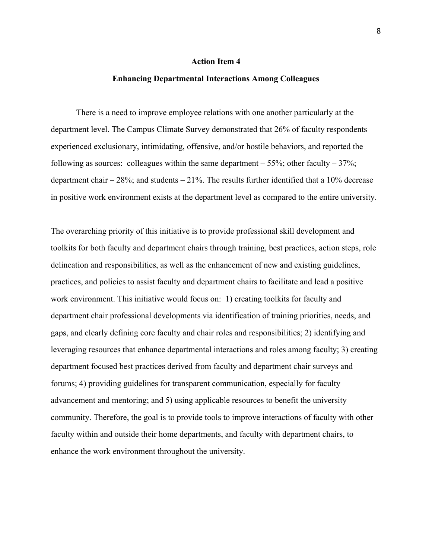### **Enhancing Departmental Interactions Among Colleagues**

There is a need to improve employee relations with one another particularly at the department level. The Campus Climate Survey demonstrated that 26% of faculty respondents experienced exclusionary, intimidating, offensive, and/or hostile behaviors, and reported the following as sources: colleagues within the same department  $-55\%$ ; other faculty  $-37\%$ ; department chair  $-28\%$ ; and students  $-21\%$ . The results further identified that a 10% decrease in positive work environment exists at the department level as compared to the entire university.

The overarching priority of this initiative is to provide professional skill development and toolkits for both faculty and department chairs through training, best practices, action steps, role delineation and responsibilities, as well as the enhancement of new and existing guidelines, practices, and policies to assist faculty and department chairs to facilitate and lead a positive work environment. This initiative would focus on: 1) creating toolkits for faculty and department chair professional developments via identification of training priorities, needs, and gaps, and clearly defining core faculty and chair roles and responsibilities; 2) identifying and leveraging resources that enhance departmental interactions and roles among faculty; 3) creating department focused best practices derived from faculty and department chair surveys and forums; 4) providing guidelines for transparent communication, especially for faculty advancement and mentoring; and 5) using applicable resources to benefit the university community. Therefore, the goal is to provide tools to improve interactions of faculty with other faculty within and outside their home departments, and faculty with department chairs, to enhance the work environment throughout the university.